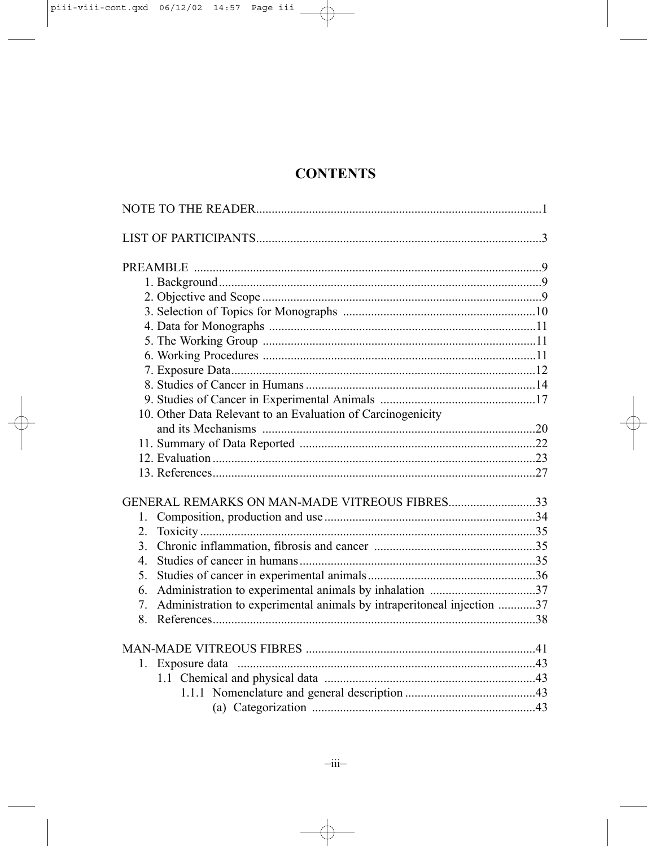# **CONTENTS**

| 10. Other Data Relevant to an Evaluation of Carcinogenicity                  |  |
|------------------------------------------------------------------------------|--|
|                                                                              |  |
|                                                                              |  |
|                                                                              |  |
|                                                                              |  |
| GENERAL REMARKS ON MAN-MADE VITREOUS FIBRES33                                |  |
| $1_{-}$                                                                      |  |
| 2.                                                                           |  |
| $\overline{3}$ .                                                             |  |
| $\overline{4}$                                                               |  |
| $5^{\circ}$                                                                  |  |
| 6.                                                                           |  |
| Administration to experimental animals by intraperitoneal injection 37<br>7. |  |
|                                                                              |  |
|                                                                              |  |
| 1.                                                                           |  |
|                                                                              |  |
|                                                                              |  |
|                                                                              |  |
|                                                                              |  |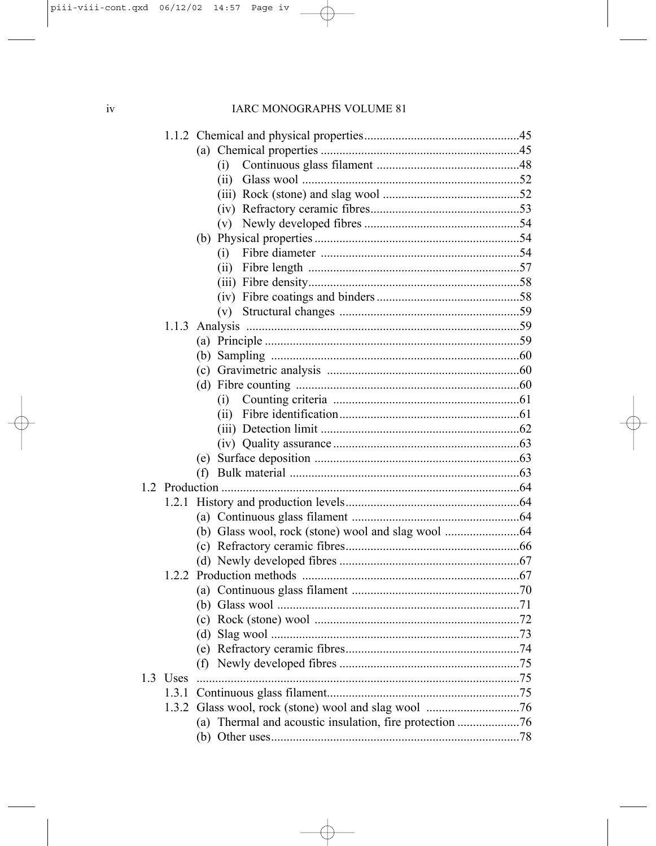|          | (i)                                                     |  |
|----------|---------------------------------------------------------|--|
|          | (ii)                                                    |  |
|          |                                                         |  |
|          |                                                         |  |
|          |                                                         |  |
|          | (b)                                                     |  |
|          | (i)                                                     |  |
|          | (ii)                                                    |  |
|          |                                                         |  |
|          |                                                         |  |
|          |                                                         |  |
|          |                                                         |  |
|          |                                                         |  |
|          |                                                         |  |
|          |                                                         |  |
|          |                                                         |  |
|          | (i)                                                     |  |
|          |                                                         |  |
|          |                                                         |  |
|          |                                                         |  |
|          |                                                         |  |
|          |                                                         |  |
|          |                                                         |  |
|          |                                                         |  |
|          |                                                         |  |
|          |                                                         |  |
|          |                                                         |  |
|          |                                                         |  |
|          |                                                         |  |
|          |                                                         |  |
|          |                                                         |  |
|          |                                                         |  |
|          |                                                         |  |
|          |                                                         |  |
|          |                                                         |  |
| 1.3 Uses |                                                         |  |
| 1.3.1    |                                                         |  |
|          |                                                         |  |
|          | (a) Thermal and acoustic insulation, fire protection 76 |  |
|          |                                                         |  |
|          |                                                         |  |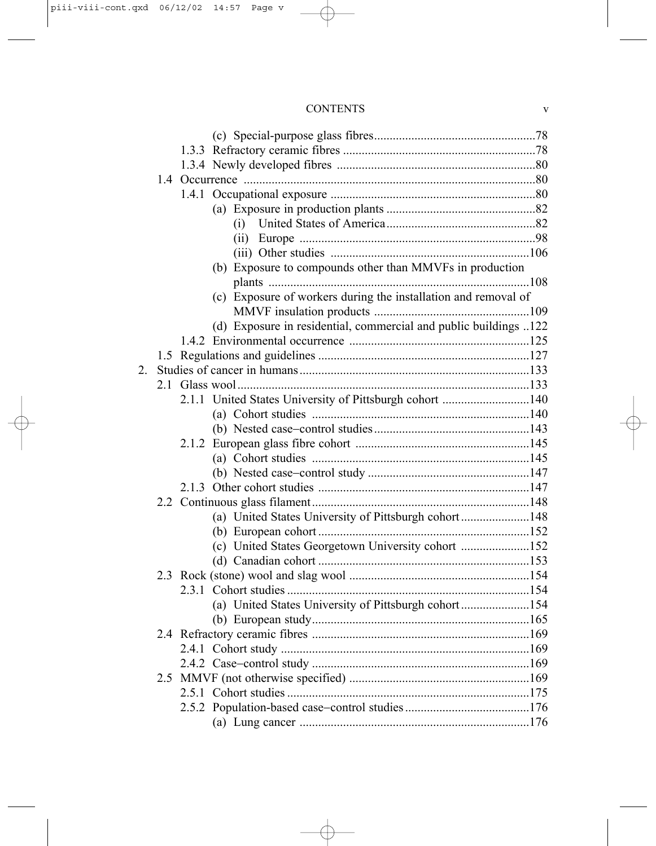## CONTENTS v

|                | (i)                                                              |  |
|----------------|------------------------------------------------------------------|--|
|                | (ii)                                                             |  |
|                |                                                                  |  |
|                | (b) Exposure to compounds other than MMVFs in production         |  |
|                |                                                                  |  |
|                | (c) Exposure of workers during the installation and removal of   |  |
|                |                                                                  |  |
|                | (d) Exposure in residential, commercial and public buildings 122 |  |
|                |                                                                  |  |
|                |                                                                  |  |
| 2 <sub>1</sub> |                                                                  |  |
|                |                                                                  |  |
|                | 2.1.1 United States University of Pittsburgh cohort 140          |  |
|                |                                                                  |  |
|                |                                                                  |  |
|                |                                                                  |  |
|                |                                                                  |  |
|                |                                                                  |  |
|                |                                                                  |  |
|                |                                                                  |  |
|                | (a) United States University of Pittsburgh cohort148             |  |
|                |                                                                  |  |
|                | (c) United States Georgetown University cohort 152               |  |
|                |                                                                  |  |
|                |                                                                  |  |
|                |                                                                  |  |
|                | (a) United States University of Pittsburgh cohort154             |  |
|                |                                                                  |  |
|                |                                                                  |  |
|                |                                                                  |  |
|                |                                                                  |  |
|                |                                                                  |  |
|                |                                                                  |  |
|                |                                                                  |  |
|                |                                                                  |  |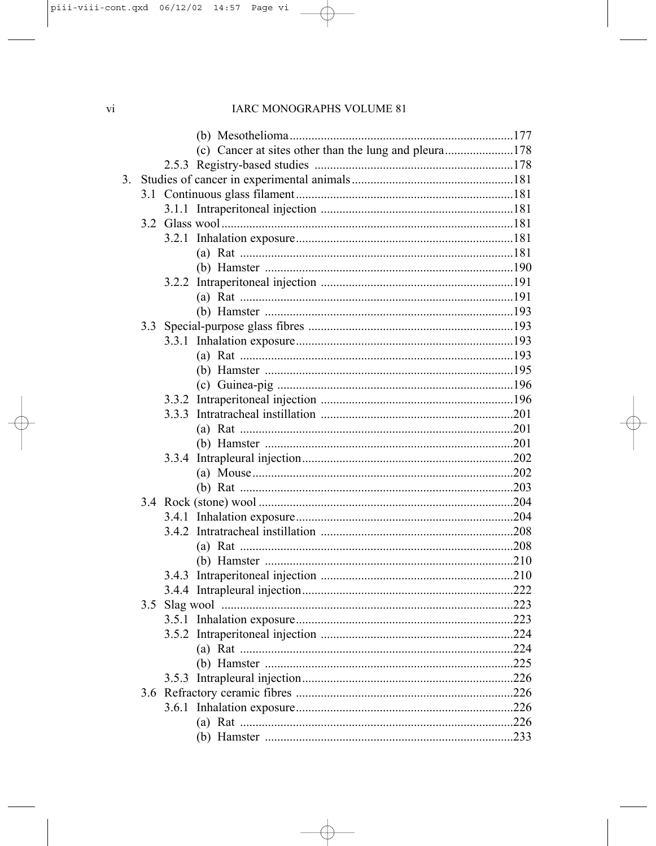#### IARC MONOGRAPHS VOLUME 81

|    |     | (c) Cancer at sites other than the lung and pleura178 |      |
|----|-----|-------------------------------------------------------|------|
|    |     |                                                       |      |
| 3. |     |                                                       |      |
|    |     |                                                       |      |
|    |     |                                                       |      |
|    |     |                                                       |      |
|    |     |                                                       |      |
|    |     |                                                       |      |
|    |     |                                                       |      |
|    |     |                                                       |      |
|    |     |                                                       |      |
|    |     |                                                       |      |
|    |     |                                                       |      |
|    |     |                                                       |      |
|    |     |                                                       |      |
|    |     |                                                       |      |
|    |     |                                                       |      |
|    |     |                                                       |      |
|    |     |                                                       |      |
|    |     |                                                       |      |
|    |     |                                                       |      |
|    |     |                                                       |      |
|    |     |                                                       |      |
|    |     |                                                       |      |
|    |     |                                                       |      |
|    |     |                                                       |      |
|    |     |                                                       |      |
|    |     |                                                       |      |
|    |     |                                                       |      |
|    |     |                                                       |      |
|    |     |                                                       |      |
|    | 3.5 |                                                       |      |
|    |     |                                                       |      |
|    |     |                                                       | 224  |
|    |     |                                                       |      |
|    |     |                                                       |      |
|    |     |                                                       |      |
|    |     |                                                       | .226 |
|    |     |                                                       | 226  |
|    |     |                                                       |      |
|    |     |                                                       |      |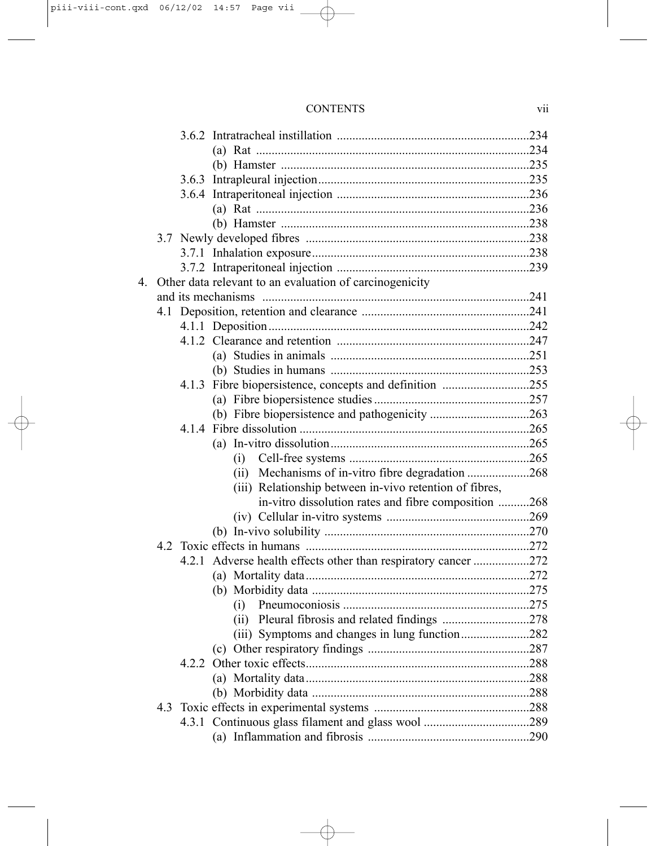| <b>CONTENTS</b> |  |
|-----------------|--|

| 4 | Other data relevant to an evaluation of carcinogenicity        |  |
|---|----------------------------------------------------------------|--|
|   |                                                                |  |
|   |                                                                |  |
|   |                                                                |  |
|   |                                                                |  |
|   |                                                                |  |
|   |                                                                |  |
|   | 4.1.3 Fibre biopersistence, concepts and definition 255        |  |
|   |                                                                |  |
|   |                                                                |  |
|   |                                                                |  |
|   |                                                                |  |
|   | (i)                                                            |  |
|   |                                                                |  |
|   | (iii) Relationship between in-vivo retention of fibres,        |  |
|   | in-vitro dissolution rates and fibre composition 268           |  |
|   |                                                                |  |
|   |                                                                |  |
|   |                                                                |  |
|   | 4.2.1 Adverse health effects other than respiratory cancer 272 |  |
|   |                                                                |  |
|   |                                                                |  |
|   | (i)                                                            |  |
|   |                                                                |  |
|   | (iii) Symptoms and changes in lung function282                 |  |
|   |                                                                |  |
|   |                                                                |  |
|   |                                                                |  |
|   |                                                                |  |
|   |                                                                |  |
|   |                                                                |  |
|   |                                                                |  |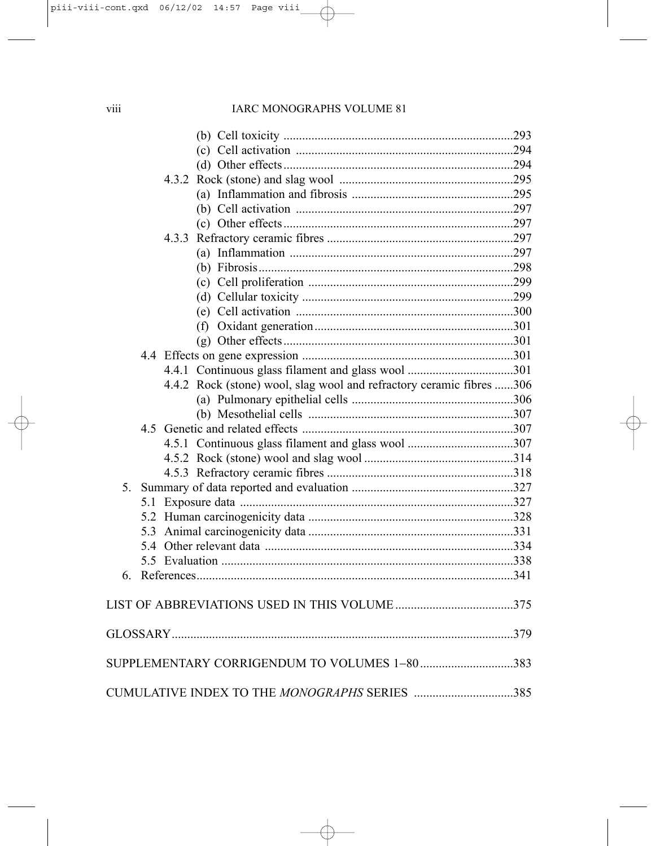### IARC MONOGRAPHS VOLUME 81

| 4.4.2 Rock (stone) wool, slag wool and refractory ceramic fibres 306 |  |
|----------------------------------------------------------------------|--|
|                                                                      |  |
|                                                                      |  |
|                                                                      |  |
|                                                                      |  |
|                                                                      |  |
|                                                                      |  |
|                                                                      |  |
|                                                                      |  |
|                                                                      |  |
|                                                                      |  |
|                                                                      |  |
|                                                                      |  |
| 6                                                                    |  |
|                                                                      |  |
|                                                                      |  |
|                                                                      |  |
| SUPPLEMENTARY CORRIGENDUM TO VOLUMES 1-80383                         |  |
| CUMULATIVE INDEX TO THE MONOGRAPHS SERIES 385                        |  |